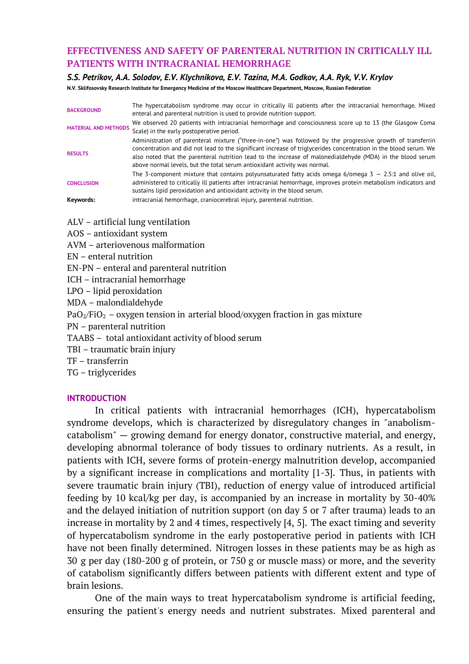## **EFFECTIVENESS AND SAFETY OF PARENTERAL NUTRITION IN CRITICALLY ILL PATIENTS WITH INTRACRANIAL HEMORRHAGE**

#### *S.S. Petrikov, A.A. Solodov, E.V. Klychnikova, E.V. Tazina, M.A. Godkov, A.A. Ryk, V.V. Krylov*

**N.V. Sklifosovsky Research Institute for Emergency Medicine of the Moscow Healthcare Department, Moscow, Russian Federation**

| <b>BACKGROUND</b>           | The hypercatabolism syndrome may occur in critically ill patients after the intracranial hemorrhage. Mixed<br>enteral and parenteral nutrition is used to provide nutrition support.                                                                                                                                                                                                                                       |  |  |  |  |
|-----------------------------|----------------------------------------------------------------------------------------------------------------------------------------------------------------------------------------------------------------------------------------------------------------------------------------------------------------------------------------------------------------------------------------------------------------------------|--|--|--|--|
| <b>MATERIAL AND METHODS</b> | We observed 20 patients with intracranial hemorrhage and consciousness score up to 13 (the Glasgow Coma<br>Scale) in the early postoperative period.                                                                                                                                                                                                                                                                       |  |  |  |  |
| <b>RESULTS</b>              | Administration of parenteral mixture ("three-in-one") was followed by the progressive growth of transferrin<br>concentration and did not lead to the significant increase of triglycerides concentration in the blood serum. We<br>also noted that the parenteral nutrition lead to the increase of malonedialdehyde (MDA) in the blood serum<br>above normal levels, but the total serum antioxidant activity was normal. |  |  |  |  |
| <b>CONCLUSION</b>           | The 3-component mixture that contains polyunsaturated fatty acids omega $6$ /omega $3 - 2.5:1$ and olive oil,<br>administered to critically ill patients after intracranial hemorrhage, improves protein metabolism indicators and<br>sustains lipid peroxidation and antioxidant activity in the blood serum.                                                                                                             |  |  |  |  |
| Keywords:                   | intracranial hemorrhage, craniocerebral injury, parenteral nutrition.                                                                                                                                                                                                                                                                                                                                                      |  |  |  |  |

ALV – artificial lung ventilation

AOS – antioxidant system

AVM – arteriovenous malformation

EN – enteral nutrition

EN-PN – enteral and parenteral nutrition

ICH – intracranial hemorrhage

LPO – lipid peroxidation

MDA – malondialdehyde

 $PaO<sub>2</sub>/FiO<sub>2</sub> - oxygen tension in a *ret* in a *block/oxygen fraction in gas mixture*$ 

PN – parenteral nutrition

TAABS – total antioxidant activity of blood serum

TBI – traumatic brain injury

TF – transferrin

TG – triglycerides

## **INTRODUCTION**

In critical patients with intracranial hemorrhages (ICH), hypercatabolism syndrome develops, which is characterized by disregulatory changes in "anabolismcatabolism" — growing demand for energy donator, constructive material, and energy, developing abnormal tolerance of body tissues to ordinary nutrients. As a result, in patients with ICH, severe forms of protein-energy malnutrition develop, accompanied by a significant increase in complications and mortality [1-3]. Thus, in patients with severe traumatic brain injury (TBI), reduction of energy value of introduced artificial feeding by 10 kcal/kg per day, is accompanied by an increase in mortality by 30-40% and the delayed initiation of nutrition support (on day 5 or 7 after trauma) leads to an increase in mortality by 2 and 4 times, respectively [4, 5]. The exact timing and severity of hypercatabolism syndrome in the early postoperative period in patients with ICH have not been finally determined. Nitrogen losses in these patients may be as high as 30 g per day (180-200 g of protein, or 750 g or muscle mass) or more, and the severity of catabolism significantly differs between patients with different extent and type of brain lesions.

One of the main ways to treat hypercatabolism syndrome is artificial feeding, ensuring the patient's energy needs and nutrient substrates. Mixed parenteral and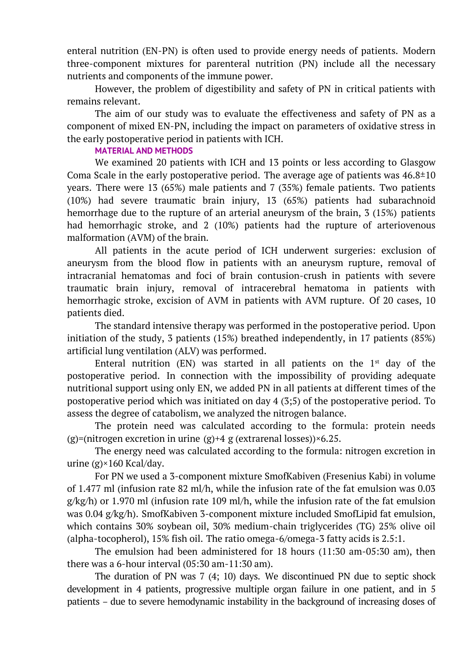enteral nutrition (EN-PN) is often used to provide energy needs of patients. Modern three-component mixtures for parenteral nutrition (PN) include all the necessary nutrients and components of the immune power.

However, the problem of digestibility and safety of PN in critical patients with remains relevant.

The aim of our study was to evaluate the effectiveness and safety of PN as a component of mixed EN-PN, including the impact on parameters of oxidative stress in the early postoperative period in patients with ICH.

# **MATERIAL AND METHODS**

We examined 20 patients with ICH and 13 points or less according to Glasgow Coma Scale in the early postoperative period. The average age of patients was  $46.8 \pm 10$ years. There were 13 (65%) male patients and 7 (35%) female patients. Two patients (10%) had severe traumatic brain injury, 13 (65%) patients had subarachnoid hemorrhage due to the rupture of an arterial aneurysm of the brain, 3 (15%) patients had hemorrhagic stroke, and 2 (10%) patients had the rupture of arteriovenous malformation (AVM) of the brain.

All patients in the acute period of ICH underwent surgeries: exclusion of aneurysm from the blood flow in patients with an aneurysm rupture, removal of intracranial hematomas and foci of brain contusion-crush in patients with severe traumatic brain injury, removal of intracerebral hematoma in patients with hemorrhagic stroke, excision of AVM in patients with AVM rupture. Of 20 cases, 10 patients died.

The standard intensive therapy was performed in the postoperative period. Upon initiation of the study, 3 patients (15%) breathed independently, in 17 patients (85%) artificial lung ventilation (ALV) was performed.

Enteral nutrition (EN) was started in all patients on the  $1<sup>st</sup>$  day of the postoperative period. In connection with the impossibility of providing adequate nutritional support using only EN, we added PN in all patients at different times of the postoperative period which was initiated on day 4 (3;5) of the postoperative period. To assess the degree of catabolism, we analyzed the nitrogen balance.

The protein need was calculated according to the formula: protein needs (g)=(nitrogen excretion in urine  $(g)+4$  g (extrarenal losses))×6.25.

The energy need was calculated according to the formula: nitrogen excretion in urine (g)×160 Kcal/day.

For PN we used a 3-component mixture SmofKabiven (Fresenius Kabi) in volume of 1.477 ml (infusion rate 82 ml/h, while the infusion rate of the fat emulsion was 0.03  $g/kg/h$ ) or 1.970 ml (infusion rate 109 ml/h, while the infusion rate of the fat emulsion was 0.04 g/kg/h). SmofKabiven 3-component mixture included SmofLipid fat emulsion, which contains 30% soybean oil, 30% medium-chain triglycerides (TG) 25% olive oil (alpha-tocopherol), 15% fish oil. The ratio omega-6/omega-3 fatty acids is 2.5:1.

The emulsion had been administered for 18 hours (11:30 am-05:30 am), then there was a 6-hour interval (05:30 am-11:30 am).

The duration of PN was 7 (4; 10) days. We discontinued PN due to septic shock development in 4 patients, progressive multiple organ failure in one patient, and in 5 patients – due to severe hemodynamic instability in the background of increasing doses of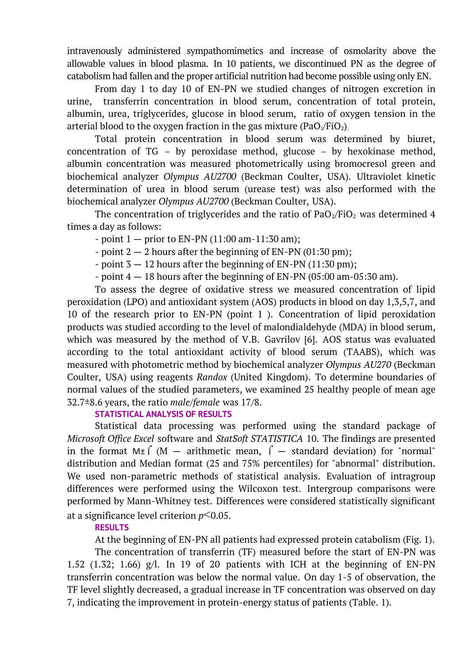intravenously administered sympathomimetics and increase of osmolarity above the allowable values in blood plasma. In 10 patients, we discontinued PN as the degree of catabolism had fallen and the proper artificial nutrition had become possible using only EN.

From day 1 to day 10 of EN-PN we studied changes of nitrogen excretion in urine, transferrin concentration in blood serum, concentration of total protein, albumin, urea, triglycerides, glucose in blood serum, ratio of oxygen tension in the arterial blood to the oxygen fraction in the gas mixture ( $PaO<sub>2</sub>/FiO<sub>2</sub>$ ).

Total protein concentration in blood serum was determined by biuret, concentration of TG – by peroxidase method, glucose – by hexokinase method, albumin concentration was measured photometrically using bromocresol green and biochemical analyzer *Olympus AU2700* (Beckman Coulter, USA). Ultraviolet kinetic determination of urea in blood serum (urease test) was also performed with the biochemical analyzer *Olympus AU2700* (Beckman Coulter, USA).

The concentration of triglycerides and the ratio of  $PaO<sub>2</sub>/FiO<sub>2</sub>$  was determined 4 times a day as follows:

 $-$  point  $1 -$  prior to EN-PN (11:00 am-11:30 am);

- point  $2 - 2$  hours after the beginning of EN-PN (01:30 pm);

- point  $3 - 12$  hours after the beginning of EN-PN (11:30 pm);

- point  $4 - 18$  hours after the beginning of EN-PN (05:00 am-05:30 am).

To assess the degree of oxidative stress we measured concentration of lipid peroxidation (LPO) and antioxidant system (AOS) products in blood on day 1,3,5,7, and 10 of the research prior to EN-PN (point 1 ). Concentration of lipid peroxidation products was studied according to the level of malondialdehyde (MDA) in blood serum, which was measured by the method of V.B. Gavrilov [6]. AOS status was evaluated according to the total antioxidant activity of blood serum (TAABS), which was measured with photometric method by biochemical analyzer *Olympus AU270* (Beckman Coulter, USA) using reagents *Randox* (United Kingdom). To determine boundaries of normal values of the studied parameters, we examined 25 healthy people of mean age 32.7±8.6 years, the ratio *male/female* was 17/8.

# **STATISTICAL ANALYSIS OF RESULTS**

Statistical data processing was performed using the standard package of *Microsoft Office Excel* software and *StatSoft STATISTICA* 10. The findings are presented in the format M $\pm$  (M – arithmetic mean,  $\int$  – standard deviation) for "normal" distribution and Median format (25 and 75% percentiles) for "abnormal" distribution. We used non-parametric methods of statistical analysis. Evaluation of intragroup differences were performed using the Wilcoxon test. Intergroup comparisons were performed by Mann-Whitney test. Differences were considered statistically significant at a significance level criterion *p*<0.05.

## **RESULTS**

At the beginning of EN-PN all patients had expressed protein catabolism (Fig. 1).

The concentration of transferrin (TF) measured before the start of EN-PN was 1.52 (1.32; 1.66) g/l. In 19 of 20 patients with ICH at the beginning of EN-PN transferrin concentration was below the normal value. On day 1-5 of observation, the TF level slightly decreased, a gradual increase in TF concentration was observed on day 7, indicating the improvement in protein-energy status of patients (Table. 1).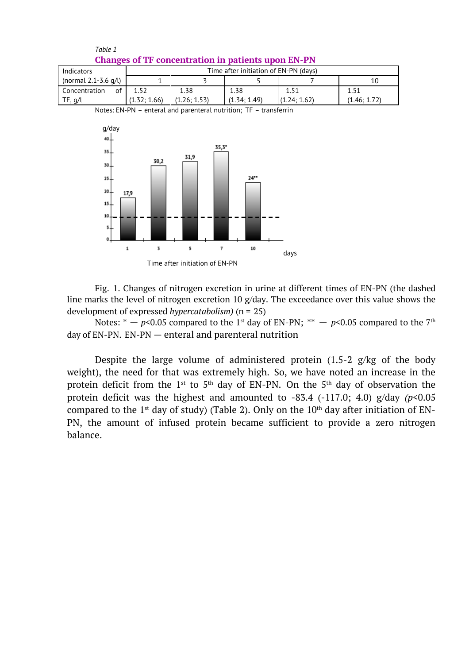

*Table 1*

Fig. 1. Changes of nitrogen excretion in urine at different times of EN-PN (the dashed line marks the level of nitrogen excretion 10 g/day. The exceedance over this value shows the development of expressed *hypercatabolism)* (n = 25)

Notes: \*  $p$ <0.05 compared to the 1st day of EN-PN; \*\*  $p$ <0.05 compared to the 7th day of EN-PN. EN-PN — enteral and parenteral nutrition

Despite the large volume of administered protein  $(1.5-2)$  g/kg of the body weight), the need for that was extremely high. So, we have noted an increase in the protein deficit from the 1<sup>st</sup> to 5<sup>th</sup> day of EN-PN. On the 5<sup>th</sup> day of observation the protein deficit was the highest and amounted to  $-83.4$   $(-117.0; 4.0)$   $g/day$   $(p<0.05$ compared to the  $1^{st}$  day of study) (Table 2). Only on the  $10^{th}$  day after initiation of EN-PN, the amount of infused protein became sufficient to provide a zero nitrogen balance.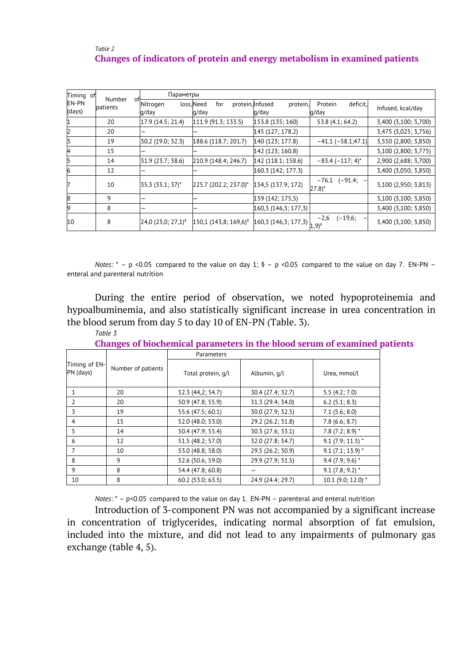## *Table 2* **Changes of indicators of protein and energy metabolism in examined patients**

| Timing<br>of           | Number         | Параметры                      |                                                |                                                  |                                           |                      |
|------------------------|----------------|--------------------------------|------------------------------------------------|--------------------------------------------------|-------------------------------------------|----------------------|
| <b>EN-PN</b><br>(days) | оĦ<br>patients | Nitrogen<br>g/day              | loss, Need<br>for<br>protein, Infused<br>g/day | protein,<br>g/day                                | Protein<br>deficit,<br>g/day              | Infused, kcal/day    |
| 1                      | 20             | 17.9 (14.5; 21.4)              | 111.9 (91.3; 133.5)                            | 153.8 (135; 160)                                 | 53.8 (4.1; 64.2)                          | 3,400 (3,100; 3,700) |
| $\overline{2}$         | 20             | -                              |                                                | 145 (127; 178.2)                                 |                                           | 3,475 (3,025; 3,756) |
| 3                      | 19             | 30.2 (19.0; 32.3)              | 188.6 (118.7; 201.7)                           | 140 (123; 177.8)                                 | $-41.1$ ( $-58.1;47.1$ )                  | 3,550 (2,800; 3,850) |
| 4                      | 15             |                                |                                                | 142 (123; 160.8)                                 |                                           | 3,100 (2,800; 3,775) |
| 5                      | 14             | 31.9 (23.7; 38.6)              | 210.9 (148.4; 246.7)                           | 142 (118.1; 158.6)                               | $-83.4$ ( $-117; 4$ )*                    | 2,900 (2,688; 3,700) |
| 6                      | 12             |                                |                                                | 160.3 (142; 177.3)                               |                                           | 3,400 (3,050; 3,850) |
|                        | 10             | 35.3 (33.1; 37)*               | 225.7 (202.2; 237.0)*                          | 154,5 (137.9; 172)                               | (-91.4;<br>$-76.1$<br>$27.8$ <sup>*</sup> | 3,100 (2,950; 3,813) |
| 8                      | 9              |                                |                                                | 159 (142; 175,5)                                 |                                           | 3,100 (3,100; 3,850) |
| 9                      | 8              | -                              |                                                | 160,3 (146,3; 177,3)                             |                                           | 3,400 (3,100; 3,850) |
| 10                     | 8              | 24,0 (23,0; 27,1) <sup>§</sup> | 150,1 (143,8; 169,6) <sup>§</sup>              | $160,3(146,3;177,3)$ <sub>1,9)<sup>5</sup></sub> | $(-19,6;$<br>$-2,6$                       | 3,400 (3,100; 3,850) |

*Notes:*  $* - p$  <0.05 compared to the value on day 1; § - p <0.05 compared to the value on day 7. EN-PN enteral and parenteral nutrition

During the entire period of observation, we noted hypoproteinemia and hypoalbuminemia, and also statistically significant increase in urea concentration in the blood serum from day 5 to day 10 of EN-PN (Table. 3).

#### *Table 3*

| <b>Changes of biochemical parameters in the blood serum of examined patients</b> |  |  |  |  |  |
|----------------------------------------------------------------------------------|--|--|--|--|--|
|----------------------------------------------------------------------------------|--|--|--|--|--|

|                            |                    | Parameters         |                   |                    |  |
|----------------------------|--------------------|--------------------|-------------------|--------------------|--|
| Timing of EN-<br>PN (days) | Number of patients | Total protein, q/l | Albumin, g/l      | Urea, mmol/l       |  |
|                            | 20                 | 52.3 (44,2; 54.7)  | 30.4 (27.4; 32.7) | 5.5(4.2; 7.0)      |  |
| $\mathcal{L}$              | 20                 | 50.9 (47.8; 55.9)  | 31.3 (29.4; 34.0) | 6.2(5.1; 8.3)      |  |
| 3                          | 19                 | 55.6 (47.5; 60.1)  | 30.0 (27.9; 32.5) | 7.1(5.6; 8.0)      |  |
| 4                          | 15                 | 52.0 (48.0; 53.0)  | 29.2 (26.2; 31.8) | 7.8(6.6; 8.7)      |  |
| 5                          | 14                 | 50.4 (47.9; 55.4)  | 30.3 (27.6; 33.1) | $7.8(7.2; 8.9)^*$  |  |
| 6                          | 12                 | 51.5 (48.2; 57.0)  | 32.0 (27.8; 34.7) | $9.1(7.9; 11.5)$ * |  |
|                            | 10                 | 53.0 (48.8; 58.0)  | 29.5 (26.2; 30.9) | $9.1(7.1; 13.9)^*$ |  |
| 8                          | 9                  | 52.6 (50.6; 59.0)  | 29.9 (27.9; 31.5) | $9.4(7.9; 9.6)^*$  |  |
| 9                          | 8                  | 54.4 (47.8; 60.8)  |                   | $9.1(7.8; 9.2)^*$  |  |
| 10                         | 8                  | 60.2 (53.0; 63.5)  | 24.9 (24.4; 29.7) | 10.1 (9.0; 12.0) * |  |

*Notes:* \* – p<0.05 compared to the value on day 1. EN-PN – parenteral and enteral nutrition

Introduction of 3-component PN was not accompanied by a significant increase in concentration of triglycerides, indicating normal absorption of fat emulsion, included into the mixture, and did not lead to any impairments of pulmonary gas exchange (table 4, 5).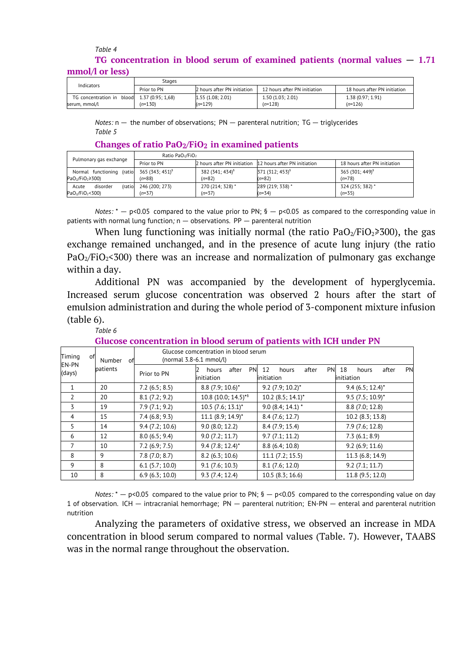### *Table 4* **TG concentration in blood serum of examined patients (normal values** — **1.71 mmol/l or less)**

| Indicators                                                     | Stages      |                                |                               |                               |
|----------------------------------------------------------------|-------------|--------------------------------|-------------------------------|-------------------------------|
|                                                                | Prior to PN | 2 hours after PN initiation    | 12 hours after PN initiation  | 18 hours after PN initiation  |
| TG concentration in $blood$ 1.37 (0.95; 1,68)<br>serum, mmol/l | $(n=130)$   | 1.55 (1.08; 2.01)<br>$(n=129)$ | 1.50(1.03; 2.01)<br>$(n=128)$ | 1.38(0.97; 1.91)<br>$(n=126)$ |

*Notes:* n — the number of observations; PN — parenteral nutrition; TG — triglycerides *Table 5*

#### **Changes of ratio PaO2/FiO2 in examined patients**

| Pulmonary gas exchange                                                  | Ratio PaO <sub>2</sub> /FiO <sub>2</sub> |                                         |                                                          |                                         |
|-------------------------------------------------------------------------|------------------------------------------|-----------------------------------------|----------------------------------------------------------|-----------------------------------------|
|                                                                         | Prior to PN                              |                                         | 2 hours after PN initiation 12 hours after PN initiation | 18 hours after PN initiation            |
| Normal functioning (ratio<br>$PaO2/FiO2 \ge 300$                        | 365 (343; 451) <sup>§</sup><br>$(n=88)$  | 382 (341; 434) <sup>§</sup><br>$(n=82)$ | 371 (312; 453) <sup>§</sup><br>$(n=82)$                  | 365 (301; 449) <sup>§</sup><br>$(n=78)$ |
| (ratio<br>disorder<br>Acute<br>PaO <sub>2</sub> /FiO <sub>2</sub> < 300 | 246 (200; 273)<br>$(n=37)$               | 270 (214; 328) *<br>$(n=37)$            | 289 (219; 338) *<br>$(n=34)$                             | 324 (255; 382) *<br>$(n=35)$            |

*Notes:*  $* - p$ <0.05 compared to the value prior to PN;  $\frac{6}{5} - p$ <0.05 as compared to the corresponding value in patients with normal lung function*;* n — observations. PP — parenteral nutrition

When lung functioning was initially normal (the ratio  $PaO<sub>2</sub>/FiO<sub>2</sub> \ge 300$ ), the gas exchange remained unchanged, and in the presence of acute lung injury (the ratio  $PaO<sub>2</sub>/FiO<sub>2</sub> < 300$ ) there was an increase and normalization of pulmonary gas exchange within a day.

Additional PN was accompanied by the development of hyperglycemia. Increased serum glucose concentration was observed 2 hours after the start of emulsion administration and during the whole period of 3-component mixture infusion (table 6).

#### *Table 6*

**Glucose concentration in blood serum of patients with ICH under PN**

| Timing<br>of<br>Number<br>оf |             | (normal 3.8-6.1 mmol/l)                   | Glucose comcentration in blood serum            |                                           |                    |
|------------------------------|-------------|-------------------------------------------|-------------------------------------------------|-------------------------------------------|--------------------|
| EN-PN<br>patients<br>(days)  | Prior to PN | <b>PN</b><br>after<br>hours<br>initiation | 12<br><b>PN</b><br>after<br>hours<br>initiation | 18<br>PN<br>after<br>hours<br>linitiation |                    |
| $\mathbf{1}$                 | 20          | 7.2(6.5; 8.5)                             | $8.8$ (7.9; 10.6)*                              | $9.2$ (7.9; 10.2)*                        | $9.4(6.5; 12.4)^*$ |
| $\overline{2}$               | 20          | 8.1(7.2; 9.2)                             | 10.8 (10.0; 14.5)**                             | $10.2$ (8.5; 14.1)*                       | $9.5$ (7.5; 10.9)* |
| 3                            | 19          | 7.9(7.1; 9.2)                             | $10.5$ (7.6; 13.1)*                             | $9.0(8.4; 14.1)$ *                        | 8.8 (7.0; 12.8)    |
| $\overline{4}$               | 15          | 7.4(6.8; 9.3)                             | $11.1 (8.9; 14.9)^*$                            | 8.4 (7.6; 12.7)                           | 10.2 (8.3; 13.8)   |
| 5                            | 14          | 9.4(7.2; 10.6)                            | 9.0(8.0; 12.2)                                  | 8.4(7.9; 15.4)                            | 7.9(7.6; 12.8)     |
| 6                            | 12          | 8.0(6.5; 9.4)                             | 9.0(7.2; 11.7)                                  | 9.7(7.1; 11.2)                            | 7.3(6.1; 8.9)      |
| 7                            | 10          | 7.2(6.9; 7.5)                             | $9.4 (7.8; 12.4)^*$                             | 8.8(6.4; 10.8)                            | 9.2(6.9; 11.6)     |
| 8                            | 9           | 7.8(7.0; 8.7)                             | 8.2(6.3; 10.6)                                  | 11.1 (7.2; 15.5)                          | 11.3 (6.8; 14.9)   |
| 9                            | 8           | $6.1$ (5.7; 10.0)                         | 9.1(7.6; 10.3)                                  | 8.1(7.6; 12.0)                            | 9.2(7.1; 11.7)     |
| 10                           | 8           | 6.9(6.3; 10.0)                            | 9.3(7.4; 12.4)                                  | 10.5(8.3; 16.6)                           | 11.8 (9.5; 12.0)   |

*Notes:*  $* - p < 0.05$  compared to the value prior to PN;  $\frac{6}{5} - p < 0.05$  compared to the corresponding value on day 1 of observation. ICH — intracranial hemorrhage; PN — parenteral nutrition; EN-PN — enteral and parenteral nutrition nutrition

Analyzing the parameters of oxidative stress, we observed an increase in MDA concentration in blood serum compared to normal values (Table. 7). However, TAABS was in the normal range throughout the observation.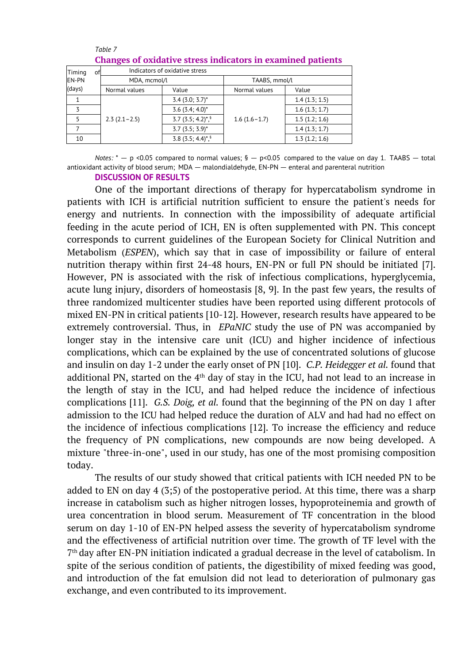|              | Changes of oxidative stress murtators in examined patients |                                 |                |               |  |  |  |  |
|--------------|------------------------------------------------------------|---------------------------------|----------------|---------------|--|--|--|--|
| Timing       | оf                                                         | Indicators of oxidative stress  |                |               |  |  |  |  |
| <b>EN-PN</b> | MDA, mcmol/l                                               |                                 | TAABS, mmol/l  |               |  |  |  |  |
| (days)       | Normal values                                              | Value                           | Normal values  | Value         |  |  |  |  |
|              |                                                            | $3.4$ (3.0; 3.7)*               |                | 1.4(1.3; 1.5) |  |  |  |  |
|              |                                                            | $3.6$ (3.4; 4.0)*               |                | 1.6(1.3; 1.7) |  |  |  |  |
|              | $2.3(2.1-2.5)$                                             | $3.7$ (3.5; 4.2) <sup>*,§</sup> | $1.6(1.6-1.7)$ | 1.5(1.2; 1.6) |  |  |  |  |
|              |                                                            | $3.7(3.5; 3.9)^*$               |                | 1.4(1.3; 1.7) |  |  |  |  |
| 10           |                                                            | $3.8$ (3.5; 4.4) <sup>*,§</sup> |                | 1.3(1.2; 1.6) |  |  |  |  |

#### *Table 7* **Changes of oxidative stress indicators in examined patients**

*Notes:*  $* - p$  <0.05 compared to normal values;  $\beta - p$ <0.05 compared to the value on day 1. TAABS — total antioxidant activity of blood serum; MDA — malondialdehyde, EN-PN — enteral and parenteral nutrition

### **DISCUSSION OF RESULTS**

One of the important directions of therapy for hypercatabolism syndrome in patients with ICH is artificial nutrition sufficient to ensure the patient's needs for energy and nutrients. In connection with the impossibility of adequate artificial feeding in the acute period of ICH, EN is often supplemented with PN. This concept corresponds to current guidelines of the European Society for Clinical Nutrition and Metabolism (*ESPEN*), which say that in case of impossibility or failure of enteral nutrition therapy within first 24-48 hours, EN-PN or full PN should be initiated [7]. However, PN is associated with the risk of infectious complications, hyperglycemia, acute lung injury, disorders of homeostasis [8, 9]. In the past few years, the results of three randomized multicenter studies have been reported using different protocols of mixed EN-PN in critical patients [10-12]. However, research results have appeared to be extremely controversial. Thus, in *EPaNIC* study the use of PN was accompanied by longer stay in the intensive care unit (ICU) and higher incidence of infectious complications, which can be explained by the use of concentrated solutions of glucose and insulin on day 1-2 under the early onset of PN [10]. *C.P. Heidegger et al.* found that additional PN, started on the  $4<sup>th</sup>$  day of stay in the ICU, had not lead to an increase in the length of stay in the ICU, and had helped reduce the incidence of infectious complications [11]. *G.S. Doig, et al.* found that the beginning of the PN on day 1 after admission to the ICU had helped reduce the duration of ALV and had had no effect on the incidence of infectious complications [12]. To increase the efficiency and reduce the frequency of PN complications, new compounds are now being developed. A mixture "three-in-one", used in our study, has one of the most promising composition today.

The results of our study showed that critical patients with ICH needed PN to be added to EN on day 4 (3;5) of the postoperative period. At this time, there was a sharp increase in catabolism such as higher nitrogen losses, hypoproteinemia and growth of urea concentration in blood serum. Measurement of TF concentration in the blood serum on day 1-10 of EN-PN helped assess the severity of hypercatabolism syndrome and the effectiveness of artificial nutrition over time. The growth of TF level with the 7 th day after EN-PN initiation indicated a gradual decrease in the level of catabolism. In spite of the serious condition of patients, the digestibility of mixed feeding was good, and introduction of the fat emulsion did not lead to deterioration of pulmonary gas exchange, and even contributed to its improvement.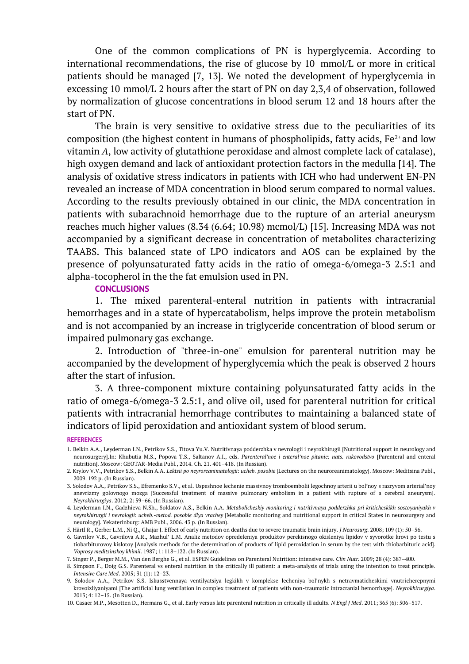One of the common complications of PN is hyperglycemia. According to international recommendations, the rise of glucose by 10 mmol/L or more in critical patients should be managed [7, 13]. We noted the development of hyperglycemia in excessing 10 mmol/L 2 hours after the start of PN on day 2,3,4 of observation, followed by normalization of glucose concentrations in blood serum 12 and 18 hours after the start of PN.

The brain is very sensitive to oxidative stress due to the peculiarities of its composition (the highest content in humans of phospholipids, fatty acids,  $Fe^{2+}$  and low vitamin *A*, low activity of glutathione peroxidase and almost complete lack of catalase), high oxygen demand and lack of antioxidant protection factors in the medulla [14]. The analysis of oxidative stress indicators in patients with ICH who had underwent EN-PN revealed an increase of MDA concentration in blood serum compared to normal values. According to the results previously obtained in our clinic, the MDA concentration in patients with subarachnoid hemorrhage due to the rupture of an arterial aneurysm reaches much higher values (8.34 (6.64; 10.98) mcmol/L) [15]. Increasing MDA was not accompanied by a significant decrease in concentration of metabolites characterizing TAABS. This balanced state of LPO indicators and AOS can be explained by the presence of polyunsaturated fatty acids in the ratio of omega-6/omega-3 2.5:1 and alpha-tocopherol in the the fat emulsion used in PN.

#### **CONCLUSIONS**

1. The mixed parenteral-enteral nutrition in patients with intracranial hemorrhages and in a state of hypercatabolism, helps improve the protein metabolism and is not accompanied by an increase in triglyceride concentration of blood serum or impaired pulmonary gas exchange.

2. Introduction of "three-in-one" emulsion for parenteral nutrition may be accompanied by the development of hyperglycemia which the peak is observed 2 hours after the start of infusion.

3. A three-component mixture containing polyunsaturated fatty acids in the ratio of omega-6/omega-3 2.5:1, and olive oil, used for parenteral nutrition for critical patients with intracranial hemorrhage contributes to maintaining a balanced state of indicators of lipid peroxidation and antioxidant system of blood serum.

#### **REFERENCES**

- 1. Belkin A.A., Leyderman I.N., Petrikov S.S., Titova Yu.V. Nutritivnaya podderzhka v nevrologii i neyrokhirugii [Nutritional support in neurology and neurosurgery].In: Khubutia M.S., Popova T.S., Saltanov A.I., eds. *Parenteral'noe i enteral'noe pitanie: nats. rukovodstvo* [Parenteral and enteral nutrition]. Moscow: GEOTAR-Media Publ., 2014. Ch. 21. 401–418. (In Russian).
- 2. Krylov V.V., Petrikov S.S., Belkin A.A. *Lektsii po neyroreanimatologii: ucheb. posobie* [Lectures on the neuroreanimatology]. Moscow: Meditsina Publ., 2009. 192 p. (In Russian).
- 3. Solodov A.A., Petrikov S.S., Efremenko S.V., et al. Uspeshnoe lechenie massivnoy tromboembolii legochnoy arterii u bol'noy s razryvom arterial'noy anevrizmy golovnogo mozga [Successful treatment of massive pulmonary embolism in a patient with rupture of a cerebral aneurysm]. *Neyrokhirurgiya*. 2012; 2: 59–66. (In Russian).
- 4. Leyderman I.N., Gadzhieva N.Sh., Soldatov A.S., Belkin A.A. *Metabolicheskiy monitoring i nutritivnaya podderzhka pri kriticheskikh sostoyaniyakh v neyrokhirurgii i nevrologii: ucheb.-metod. posobie dlya vrachey* [Metabolic monitoring and nutritional support in critical States in neurosurgery and neurology]. Yekaterinburg: AMB Publ., 2006. 43 p. (In Russian).
- 5. Härtl R., Gerber L.M., Ni Q., Ghajar J. Effect of early nutrition on deaths due to severe traumatic brain injury. *J Neurosurg*. 2008; 109 (1): 50–56.
- 6. Gavrilov V.B., Gavrilova A.R., Mazhul' L.M. Analiz metodov opredeleniya produktov perekisnogo okisleniya lipidov v syvorotke krovi po testu s tiobarbiturovoy kislotoy [Analysis methods for the determination of products of lipid peroxidation in serum by the test with thiobarbituric acid]. *Voprosy meditsinskoy khimii*. 1987; 1: 118–122. (In Russian).
- 7. Singer P., Berger M.M., Van den Berghe G., et al. ESPEN Guidelines on Parenteral Nutrition: intensive care. *Clin Nutr.* 2009; 28 (4): 387–400.

9. Solodov A.A., Petrikov S.S. Iskusstvennaya ventilyatsiya legkikh v komplekse lecheniya bol'nykh s netravmaticheskimi vnutricherepnymi krovoizliyaniyami [The artificial lung ventilation in complex treatment of patients with non-traumatic intracranial hemorrhage]. *Neyrokhirurgiya*. 2013; 4: 12–15. (In Russian).

10. Casaer M.P., Mesotten D., Hermans G., et al. Early versus late parenteral nutrition in critically ill adults. *N Engl J Med*. 2011; 365 (6): 506–517.

<sup>8.</sup> Simpson F., Doig G.S. Parenteral vs enteral nutrition in the critically ill patient: a meta-analysis of trials using the intention to treat principle. *Intensive Care Med*. 2005; 31 (1): 12–23.